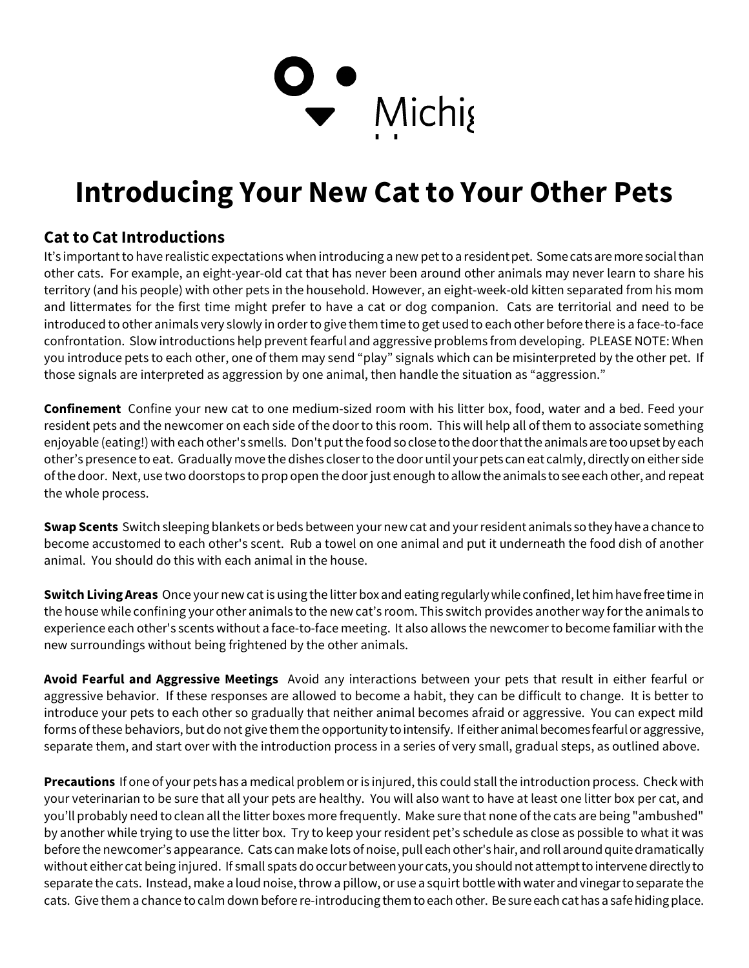## D<br>▼ Michig

## Introducing Your New Cat to Your Other Pets

## Cat to Cat Introductions

It's important to have realistic expectations when introducing a new pet to a resident pet. Some cats are more social than other cats. For example, an eight-year-old cat that has never been around other animals may never learn to share his territory (and his people) with other pets in the household. However, an eight-week-old kitten separated from his mom and littermates for the first time might prefer to have a cat or dog companion. Cats are territorial and need to be introduced to other animals very slowly in order to give them time to get used to each other before there is a face-to-face confrontation. Slow introductions help prevent fearful and aggressive problems from developing. PLEASE NOTE: When you introduce pets to each other, one of them may send "play" signals which can be misinterpreted by the other pet. If those signals are interpreted as aggression by one animal, then handle the situation as "aggression."

Confinement Confine your new cat to one medium-sized room with his litter box, food, water and a bed. Feed your resident pets and the newcomer on each side of the door to this room. This will help all of them to associate something enjoyable (eating!) with each other's smells. Don't put the food so close to the door that the animals are too upset by each other's presence to eat. Gradually move the dishes closer to the door until your pets can eat calmly, directly on either side of the door. Next, use two doorstops to prop open the door just enough to allow the animals to see each other, and repeat the whole process.

Swap Scents Switch sleeping blankets or beds between your new cat and your resident animals so they have a chance to become accustomed to each other's scent. Rub a towel on one animal and put it underneath the food dish of another animal. You should do this with each animal in the house.

Switch Living Areas Once your new cat is using the litter box and eating regularly while confined, let him have free time in the house while confining your other animals to the new cat's room. This switch provides another way for the animals to experience each other's scents without a face-to-face meeting. It also allows the newcomer to become familiar with the new surroundings without being frightened by the other animals.

Avoid Fearful and Aggressive Meetings Avoid any interactions between your pets that result in either fearful or aggressive behavior. If these responses are allowed to become a habit, they can be difficult to change. It is better to introduce your pets to each other so gradually that neither animal becomes afraid or aggressive. You can expect mild forms of these behaviors, but do not give them the opportunity to intensify. If either animal becomes fearful or aggressive, separate them, and start over with the introduction process in a series of very small, gradual steps, as outlined above.

Precautions If one of your pets has a medical problem or is injured, this could stall the introduction process. Check with your veterinarian to be sure that all your pets are healthy. You will also want to have at least one litter box per cat, and you'll probably need to clean all the litter boxes more frequently. Make sure that none of the cats are being "ambushed" by another while trying to use the litter box. Try to keep your resident pet's schedule as close as possible to what it was before the newcomer's appearance. Cats can make lots of noise, pull each other's hair, and roll around quite dramatically without either cat being injured. If small spats do occur between your cats, you should not attempt to intervene directly to separate the cats. Instead, make a loud noise, throw a pillow, or use a squirt bottle with water and vinegar to separate the cats. Give them a chance to calm down before re-introducing them to each other. Be sure each cat has a safe hiding place.